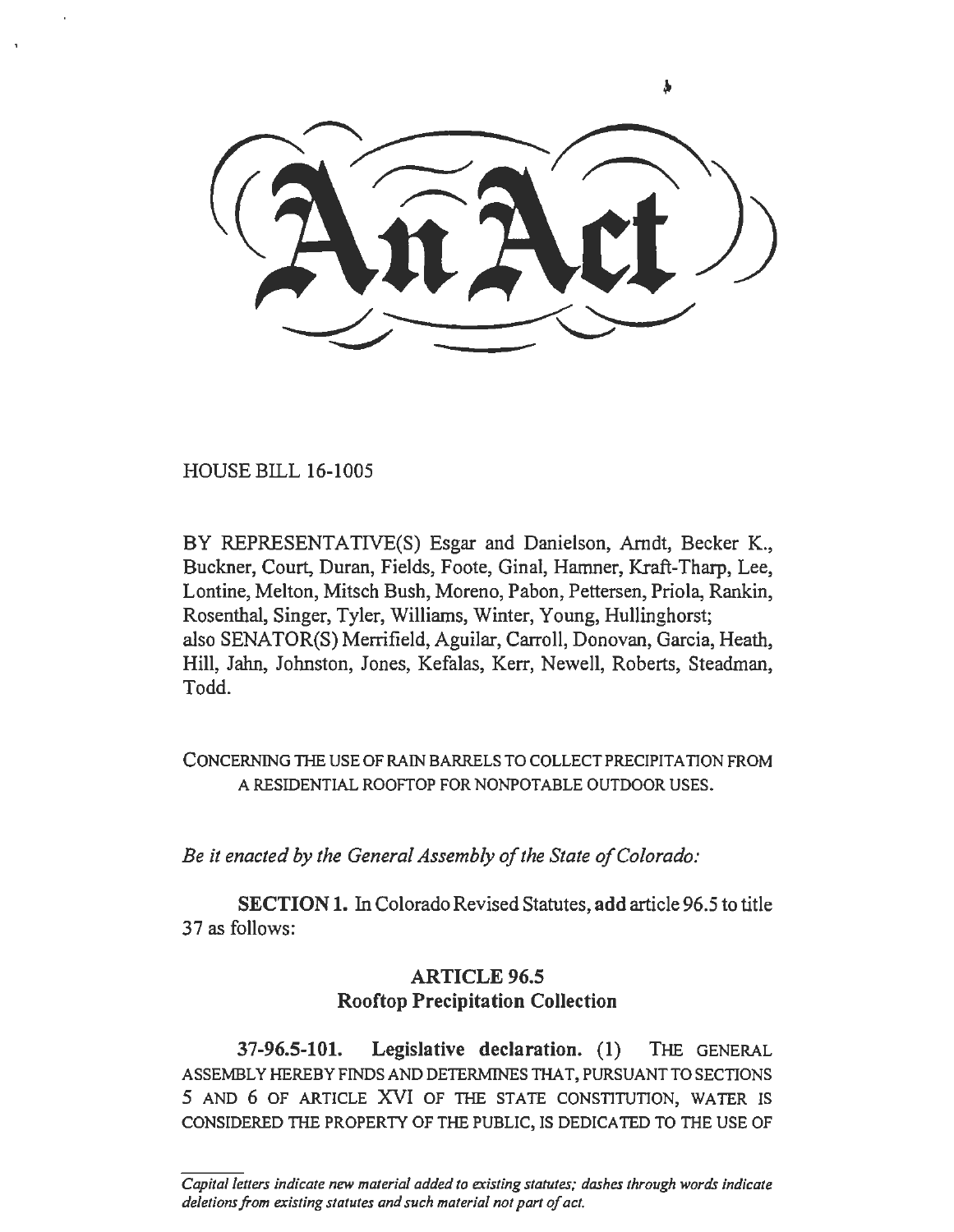HOUSE BILL 16-1005

BY REPRESENTATIVE(S) Esgar and Danielson, Arndt, Becker K., Buckner, Court, Duran, Fields, Foote, Ginal, Hamner, Kraft-Tharp, Lee, Lontine, Melton, Mitsch Bush, Moreno, Pabon, Pettersen, Priola, Rankin, Rosenthal, Singer, Tyler, Williams, Winter, Young, Hullinghorst; also SENATOR(S) Merrifield, Aguilar, Carroll, Donovan, Garcia, Heath, Hill, Jahn, Johnston, Jones, Kefalas, Kerr, Newell, Roberts, Steadman, Todd.

CONCERNING THE USE OF RAIN BARRELS TO COLLECT PRECIPITATION FROM A RESIDENTIAL ROOFTOP FOR NONPOTABLE OUTDOOR USES.

*Be it enacted by the General Assembly of the State of Colorado:* 

SECTION 1. In Colorado Revised Statutes, add article 96.5 to title 37 as follows:

## ARTICLE 96.5 Rooftop Precipitation Collection

37-96.5-101. Legislative declaration. (1) THE GENERAL ASSEMBLY HEREBY FINDS AND DETERMINES THAT, PURSUANT TO SECTIONS 5 AND 6 OF ARTICLE XVI OF THE STATE CONSTITUTION, WATER IS CONSIDERED THE PROPERTY OF THE PUBLIC, IS DEDICATED TO THE USE OF

*Capital letters indicate new material added to existing statutes; dashes through words indicate deletions from existing statutes and such material not part of act.*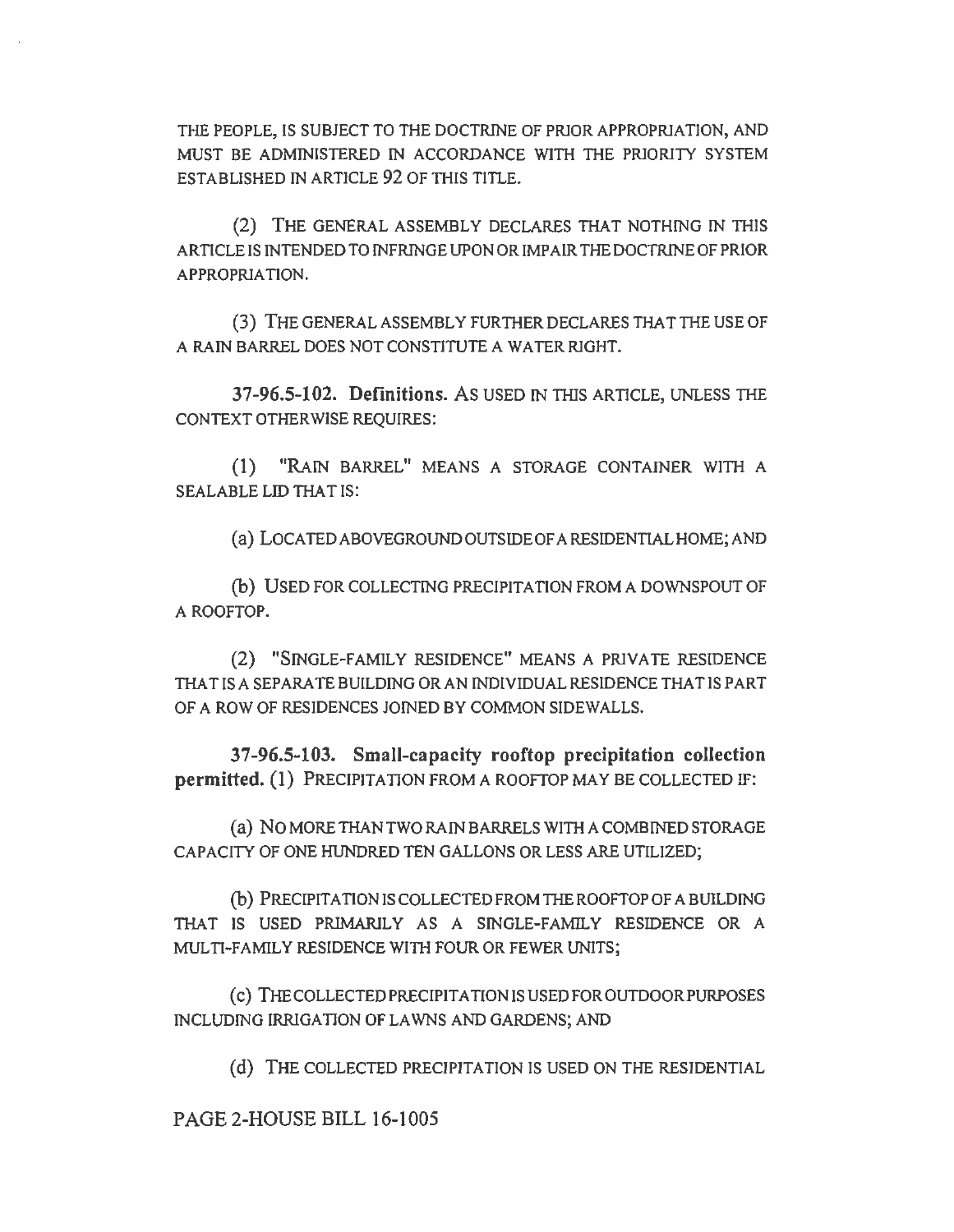THE PEOPLE, IS SUBJECT TO THE DOCTRINE OF PRIOR APPROPRIATION, AND MUST BE ADMINISTERED IN ACCORDANCE WITH THE PRJORJTY SYSTEM ESTABLISHED IN ARTICLE 92 OF THIS TITLE.

(2) THE GENERAL ASSEMBLY DECLARES THAT NOTHING IN THIS ARTICLE IS INTENDED TO INFRINGE UPON OR IMP AIR THE DOCTRINE OF PRIOR APPROPRlA TION.

(3) THE GENERAL ASSEMBLY FURTHER DECLARES THAT THE USE OF A RAIN BARREL DOES NOT CONSTITUTE A WATER RlGHT.

37-96.5-102. Definitions. As USED IN THIS ARTICLE, UNLESS THE CONTEXT OTHERWISE REQUIRES:

(1) "RAIN BARREL" MEANS A STORAGE CONTAINER WITH A SEALABLE LID THAT IS:

(a) LOCATED ABOVEGROUND OUTSIDE OF A RESIDENTIAL HOME; AND

(b) USED FOR COLLECTING PRECIPITATION FROM A DOWNSPOUT OF A ROOFTOP.

(2) "SINGLE-FAMILY RESIDENCE" MEANS A PRlVATE RESIDENCE THAT IS A SEPARATE BUILDING OR AN INDIVIDUAL RESIDENCE THAT IS PART OF A ROW OF RESIDENCES JOINED BY COMMON SIDEWALLS.

37-96.5-103. Small-capacity rooftop precipitation collection permitted. (1) PRECIPITATION FROM A ROOFTOP MAY BE COLLECTED IF:

(a) No MORE THAN TWO RAIN BARRELS WITH A COMBINED STORAGE CAPACITY OF ONE HUNDRED TEN GALLONS OR LESS ARE UTILIZED;

(b) PRECIPITATION IS COLLECTED FROM THE ROOFTOP OF A BUILDING THAT IS USED PRIMARILY AS A SINGLE-FAMILY RESIDENCE OR A MULTI-FAMILY RESIDENCE WITH FOUR OR FEWER UNITS;

( c) THE COLLECTED PRECIPITATION IS USED FOR OUTDOOR PURPOSES INCLUDING IRRIGATION OF LAWNS AND GARDENS; AND

(d) THE COLLECTED PRECIPITATION IS USED ON THE RESIDENTIAL

PAGE 2-HOUSE BILL 16-1005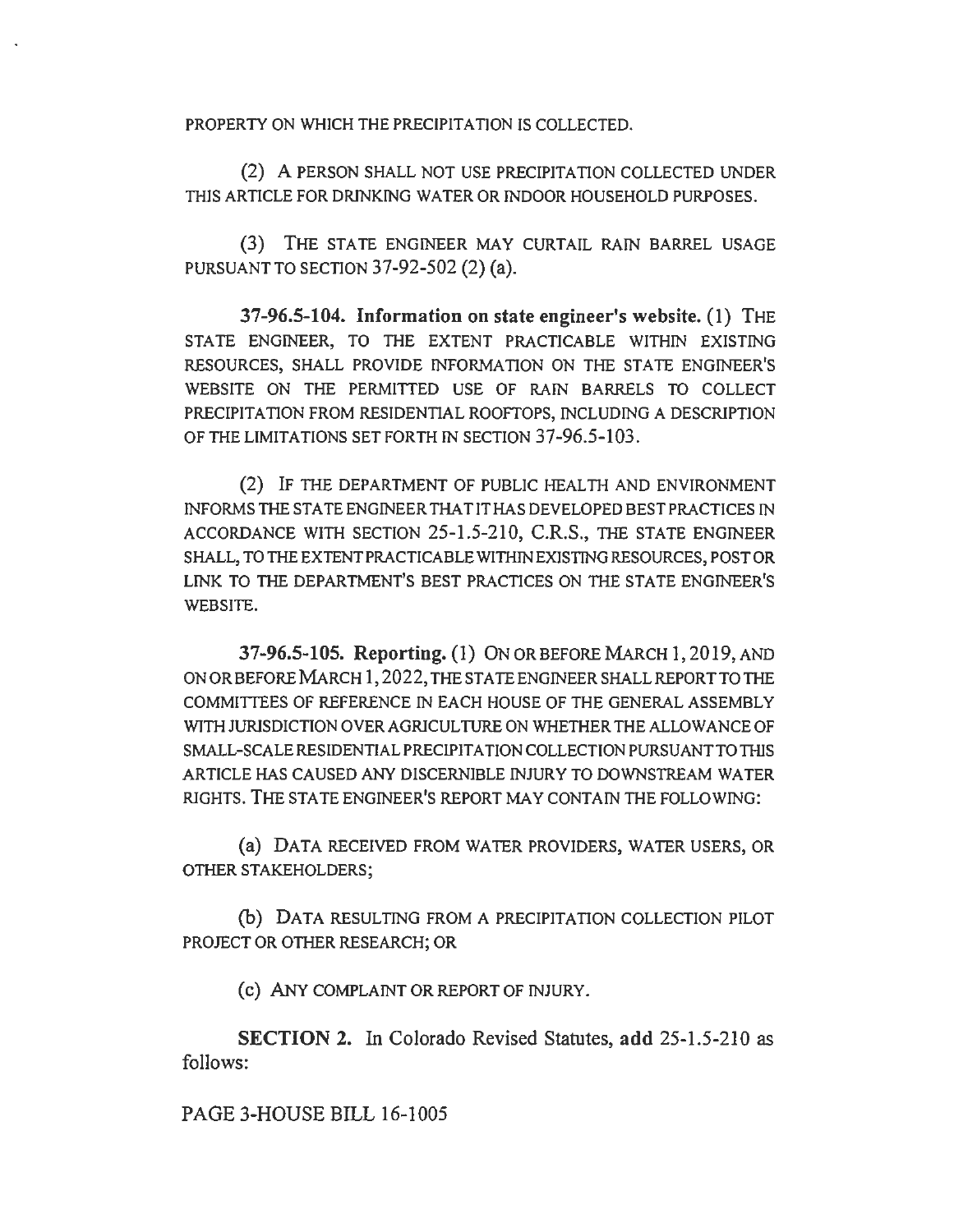PROPERTY ON WHICH THE PRECIPITATION IS COLLECTED.

(2) A PERSON SHALL NOT USE PRECIPITATION COLLECTED UNDER THIS ARTICLE FOR DRINKING WATER OR INDOOR HOUSEHOLD PURPOSES.

(3) THE STATE ENGINEER MAY CURTAIL RAIN BARREL USAGE PURSUANT TO SECTION 37-92-502 (2) (a).

37-96.5-104. Information on state engineer's website. (1) THE STATE ENGINEER, TO THE EXTENT PRACTICABLE WITHIN EXISTING RESOURCES, SHALL PROVIDE INFORMATION ON THE STATE ENGINEER'S WEBSITE ON THE PERMITTED USE OF RAIN BARRELS TO COLLECT PRECIPITATION FROM RESIDENTIAL ROOFTOPS, INCLUDING A DESCRIPTION OF THE LIMITATIONS SET FORTH IN SECTION 37-96.5-103.

(2) IF THE DEPARTMENT OF PUBLIC HEALTH AND ENVIRONMENT INFORMS THE STATE ENGINEER THAT IT HAS DEVELOPED BEST PRACTICES IN ACCORDANCE WITH SECTION 25-1.5-210, C.R.S., THE STATE ENGINEER SHALL, TO THE EXTENT PRACTICABLE WITHIN EXISTING RESOURCES, POST OR LINK TO THE DEPARTMENT'S BEST PRACTICES ON THE STATE ENGINEER'S WEBSITE.

37-96.5-105. Reporting. (1) ON OR BEFORE MARCH 1,2019,AND ONORBEFOREMARCH 1,2022, THESTATEENGINEERSHALLREPORTTOTHE COMMITTEES OF REFERENCE IN EACH HOUSE OF THE GENERAL ASSEMBLY WITH JURISDICTION OVER AGRICULTURE ON WHETHER THE ALLOWANCE OF SMALL-SCALE RESIDENTIAL PRECIPITATION COLLECTION PURSUANT TO THIS ARTICLE HAS CAUSED ANY DISCERNIBLE INJURY TO DOWNSTREAM WATER RIGHTS. THE STATE ENGINEER'S REPORT MAY CONTAIN THE FOLLOWING:

(a) DATA RECEIVED FROM WATER PROVIDERS, WATER USERS, OR OTHER STAKEHOLDERS;

(b) DATA RESULTING FROM A PRECIPITATION COLLECTION PILOT PROJECT OR OTHER RESEARCH; OR

(c) ANY COMPLAINT OR REPORT OF INJURY.

SECTION 2. In Colorado Revised Statutes, add 25-1.5-210 as follows:

PAGE 3-HOUSE BILL 16-1005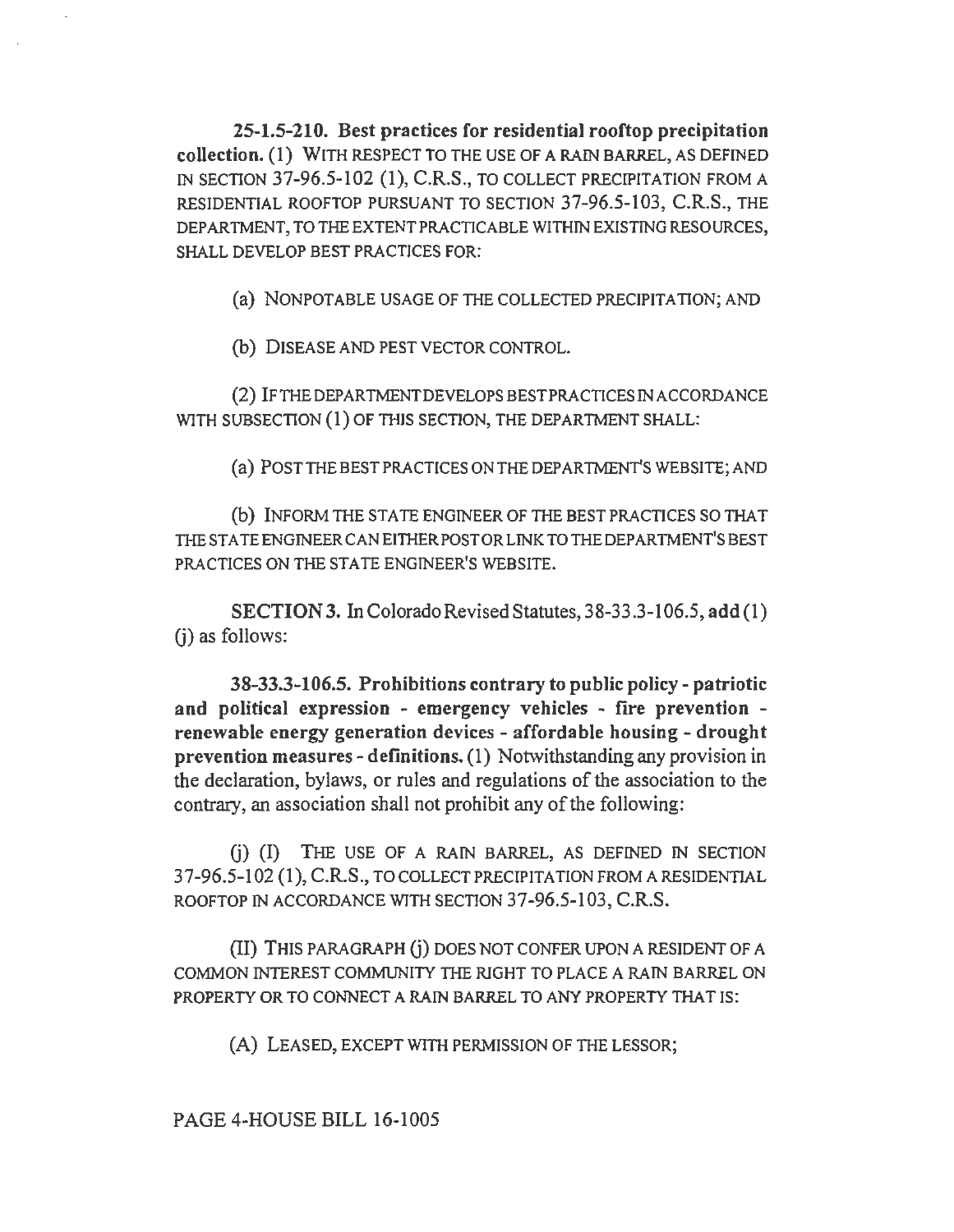25-1.5-210. Best practices for residential rooftop precipitation collection. (1) WITH RESPECT TO THE USE OF A RAIN BARREL, AS DEFINED IN SECTION 37-96.5-102 (I), C.R.S., TO COLLECT PRECIPITATION FROM A RESIDENTIAL ROOFTOP PURSUANT TO SECTION 37-96.5-103, C.R.S., THE DEPARTMENT, TO THE EXTENT PRACTICABLE WITHIN EXISTING RESOURCES, SHALL DEVELOP BEST PRACTICES FOR:

(a) NONPOTABLE USAGE OF THE COLLECTED PRECIPITATION; AND

(b) DISEASE AND PEST VECTOR CONTROL.

(2) IFTHEDEPARTMENTDEVELOPSBESTPRACTICESINACCORDANCE WITH SUBSECTION (1) OF THIS SECTION, THE DEPARTMENT SHALL:

(a) POSTTHEBESTPRACTICESONTHEDEPARTMENT'S WEBSITE; AND

(b) INFORM THE STA TE ENGINEER OF THE BEST PRACTICES SO THAT THE STATE ENGINEER CAN EITHER POST OR LINK TO THE DEPARTMENT'S BEST PRACTICES ON THE STATE ENGINEER'S WEBSITE.

SECTION 3. In Colorado Revised Statutes, 3 8-33 .3-106.5, add (I) (i) as follows:

38-33.3-106.5. Prohibitions contrary to public policy-patriotic and political expression - emergency vehicles - fire prevention renewable energy generation devices - affordable housing - drought prevention measures-definitions. (1) Notwithstanding any provision in the declaration, bylaws, or rules and regulations of the association to the contrary, an association shall not prohibit any of the following:

G) (I) THE USE OF A RAIN BARREL, AS DEFINED IN SECTION 37-96.5-102 (1), C.R.S., TO COLLECT PRECIPITATION FROM A RESIDENTIAL ROOFTOP IN ACCORDANCE WITH SECTION 37-96.5-103, C.R.S.

(II) THIS PARAGRAPH G) DOES NOT CONFER UPON A RESIDENT OF A COMMON INTEREST COMMUNITY THE RIGHT TO PLACE A RAIN BARREL ON PROPERTY OR TO CONNECT A RAIN BARREL TO ANY PROPERTY THAT IS:

(A) LEASED, EXCEPT WITH PERMISSION OF THE LESSOR;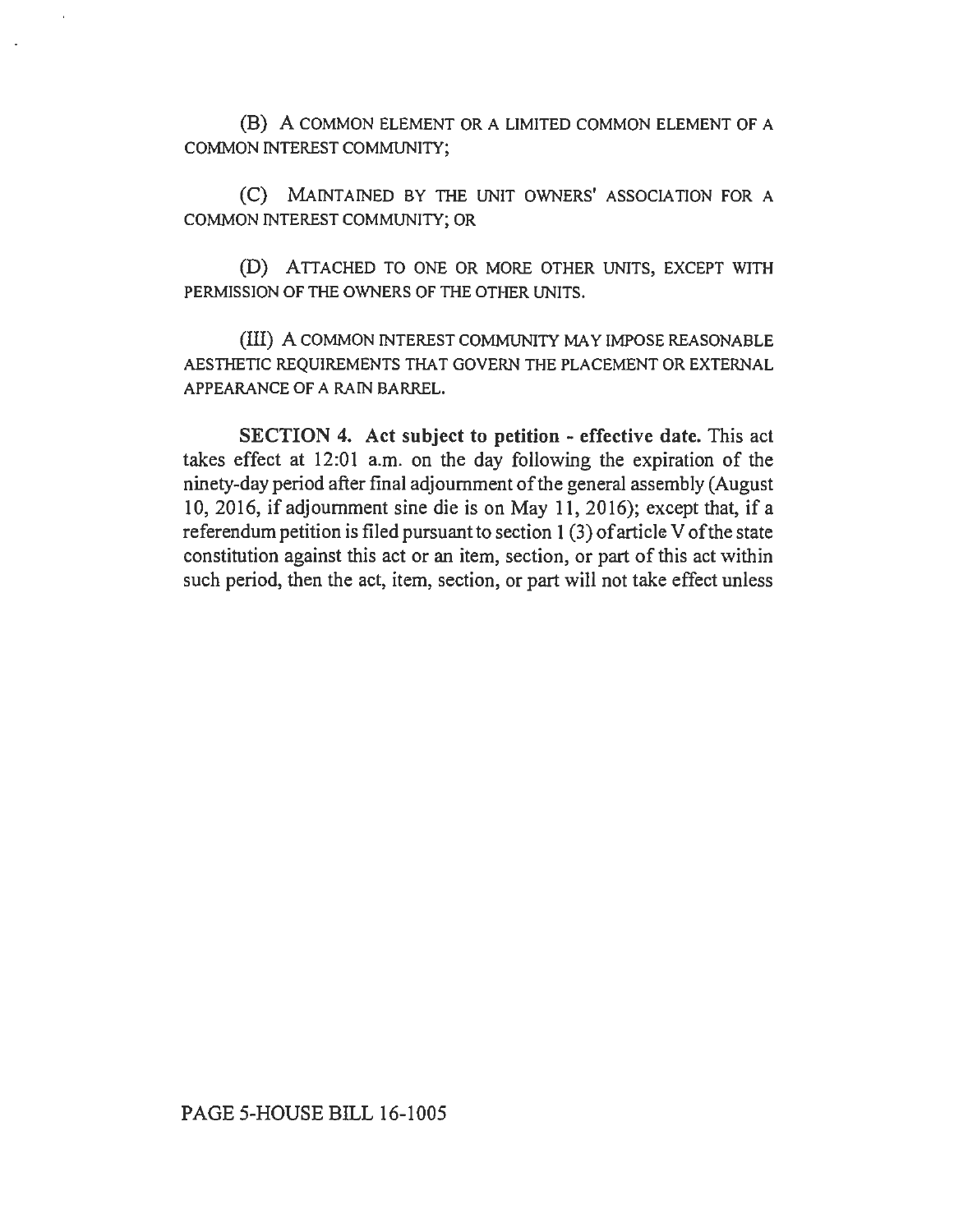(B) A COMMON ELEMENT OR A LIMITED COMMON ELEMENT OF A COMMON INTEREST COMMUNITY;

(C) MAINTAINED BY THE UNIT OWNERS' ASSOCIATION FOR A COMMON INTEREST COMMUNITY; OR

(D) ATTACHED TO ONE OR MORE OTHER UNITS, EXCEPT WITH PERMISSION OF THE OWNERS OF THE OTHER UNITS.

(III) A COMMON INTEREST COMMUNITY MAY IMPOSE REASONABLE AESTHETIC REQUIREMENTS THAT GOVERN THE PLACEMENT OR EXTERNAL APPEARANCE OF A RAIN BARREL.

SECTION 4. Act subject to petition - effective date. This act takes effect at 12:01 a.m. on the day following the expiration of the ninety-day period after final adjournment of the general assembly (August 10, 2016, if adjournment sine die is on May 11, 2016); except that, if a referendum petition is filed pursuant to section  $1(3)$  of article V of the state constitution against this act or an item, section, or part of this act within such period, then the act, item, section, or part will not take effect unless